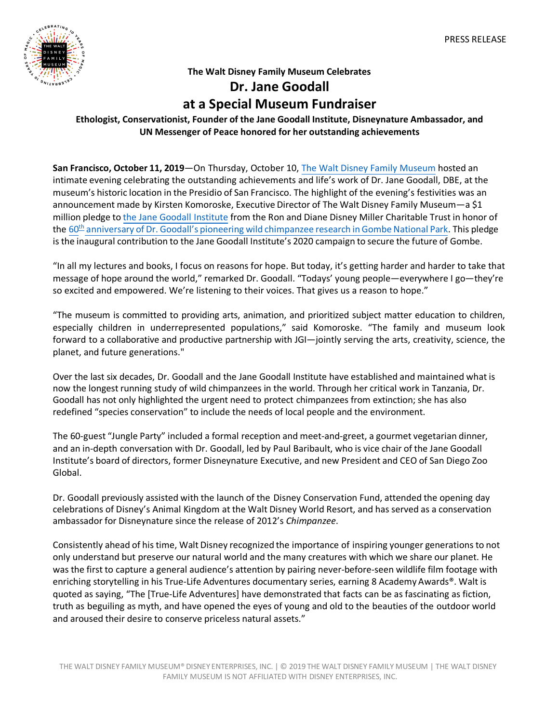

### **The Walt Disney Family Museum Celebrates**

# **Dr. Jane Goodall at a Special Museum Fundraiser**

## **Ethologist, Conservationist, Founder of the Jane Goodall Institute, Disneynature Ambassador, and UN Messenger of Peace honored for her outstanding achievements**

**San Francisco, October 11, 2019**—On Thursday, October 10, The Walt Disney Family Museum hosted an intimate evening celebrating the outstanding achievements and life's work of Dr. Jane Goodall, DBE, at the museum's historic location in the Presidio of San Francisco. The highlight of the evening's festivities was an announcement made by Kirsten Komoroske, Executive Director of The Walt Disney Family Museum—a \$1 million pledge to the Jane Goodall Institute from the Ron and Diane Disney Miller Charitable Trust in honor of the 60<sup>th</sup> anniversary of Dr. Goodall's pioneering wild chimpanzee research in Gombe National Park. This pledge isthe inaugural contribution to the Jane Goodall Institute's 2020 campaign to secure the future of Gombe.

"In all my lectures and books, I focus on reasons for hope. But today, it's getting harder and harder to take that message of hope around the world," remarked Dr. Goodall. "Todays' young people—everywhere I go—they're so excited and empowered. We're listening to their voices. That gives us a reason to hope."

"The museum is committed to providing arts, animation, and prioritized subject matter education to children, especially children in underrepresented populations," said Komoroske. "The family and museum look forward to a collaborative and productive partnership with JGI—jointly serving the arts, creativity, science, the planet, and future generations."

Over the last six decades, Dr. Goodall and the Jane Goodall Institute have established and maintained what is now the longest running study of wild chimpanzees in the world. Through her critical work in Tanzania, Dr. Goodall has not only highlighted the urgent need to protect chimpanzees from extinction; she has also redefined "species conservation" to include the needs of local people and the environment.

The 60-guest "Jungle Party" included a formal reception and meet-and-greet, a gourmet vegetarian dinner, and an in-depth conversation with Dr. Goodall, led by Paul Baribault, who is vice chair of the Jane Goodall Institute's board of directors, former Disneynature Executive, and new President and CEO of San Diego Zoo Global.

Dr. Goodall previously assisted with the launch of the Disney Conservation Fund, attended the opening day celebrations of Disney's Animal Kingdom at the Walt Disney World Resort, and has served as a conservation ambassador for Disneynature since the release of 2012's *Chimpanzee*.

Consistently ahead of histime, Walt Disney recognized the importance of inspiring younger generationsto not only understand but preserve our natural world and the many creatures with which we share our planet. He was the first to capture a general audience's attention by pairing never-before-seen wildlife film footage with enriching storytelling in his True-Life Adventures documentary series, earning 8 Academy Awards®. Walt is quoted as saying, "The [True-Life Adventures] have demonstrated that facts can be as fascinating as fiction, truth as beguiling as myth, and have opened the eyes of young and old to the beauties of the outdoor world and aroused their desire to conserve priceless natural assets."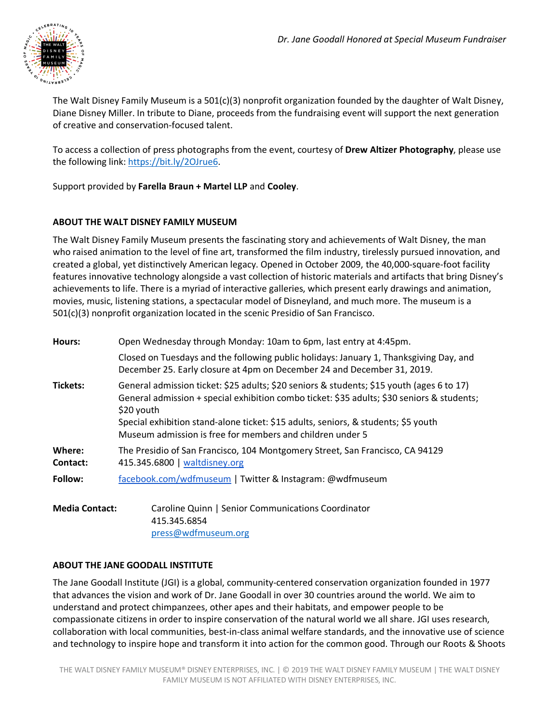

The Walt Disney Family Museum is a 501(c)(3) nonprofit organization founded by the daughter of Walt Disney, Diane Disney Miller. In tribute to Diane, proceeds from the fundraising event will support the next generation of creative and conservation-focused talent.

To access a collection of press photographs from the event, courtesy of **Drew Altizer Photography**, please use the following link: https://bit.ly/2OJrue6.

Support provided by **Farella Braun + Martel LLP** and **Cooley**.

#### **ABOUT THE WALT DISNEY FAMILY MUSEUM**

The Walt Disney Family Museum presents the fascinating story and achievements of Walt Disney, the man who raised animation to the level of fine art, transformed the film industry, tirelessly pursued innovation, and created a global, yet distinctively American legacy. Opened in October 2009, the 40,000-square-foot facility features innovative technology alongside a vast collection of historic materials and artifacts that bring Disney's achievements to life. There is a myriad of interactive galleries, which present early drawings and animation, movies, music, listening stations, a spectacular model of Disneyland, and much more. The museum is a 501(c)(3) nonprofit organization located in the scenic Presidio of San Francisco.

| <b>Hours:</b>        | Open Wednesday through Monday: 10am to 6pm, last entry at 4:45pm.                                                                                                                                                                                                                                                                                        |
|----------------------|----------------------------------------------------------------------------------------------------------------------------------------------------------------------------------------------------------------------------------------------------------------------------------------------------------------------------------------------------------|
|                      | Closed on Tuesdays and the following public holidays: January 1, Thanksgiving Day, and<br>December 25. Early closure at 4pm on December 24 and December 31, 2019.                                                                                                                                                                                        |
| <b>Tickets:</b>      | General admission ticket: \$25 adults; \$20 seniors & students; \$15 youth (ages 6 to 17)<br>General admission + special exhibition combo ticket: \$35 adults; \$30 seniors & students;<br>\$20 youth<br>Special exhibition stand-alone ticket: \$15 adults, seniors, & students; \$5 youth<br>Museum admission is free for members and children under 5 |
| Where:<br>Contact:   | The Presidio of San Francisco, 104 Montgomery Street, San Francisco, CA 94129<br>415.345.6800   waltdisney.org                                                                                                                                                                                                                                           |
| Follow:              | facebook.com/wdfmuseum   Twitter & Instagram: @wdfmuseum                                                                                                                                                                                                                                                                                                 |
| $M$ odio $C$ ontocti | Caroline Quinn L Senier Communications Coordinator                                                                                                                                                                                                                                                                                                       |

**Media Contact:** Caroline Quinn | Senior Communications Coordinator 415.345.6854 press@wdfmuseum.org

#### **ABOUT THE JANE GOODALL INSTITUTE**

The Jane Goodall Institute (JGI) is a global, community-centered conservation organization founded in 1977 that advances the vision and work of Dr. Jane Goodall in over 30 countries around the world. We aim to understand and protect chimpanzees, other apes and their habitats, and empower people to be compassionate citizens in order to inspire conservation of the natural world we all share. JGI uses research, collaboration with local communities, best-in-class animal welfare standards, and the innovative use of science and technology to inspire hope and transform it into action for the common good. Through our Roots & Shoots